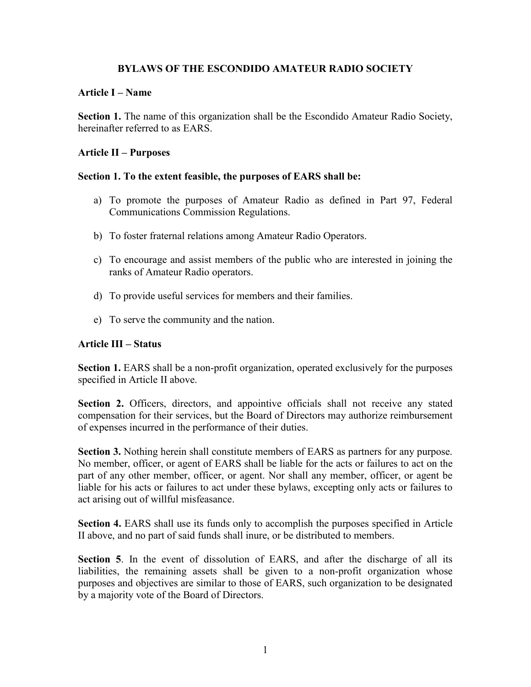## **BYLAWS OF THE ESCONDIDO AMATEUR RADIO SOCIETY**

## **Article I – Name**

**Section 1.** The name of this organization shall be the Escondido Amateur Radio Society, hereinafter referred to as EARS.

## **Article II – Purposes**

## **Section 1. To the extent feasible, the purposes of EARS shall be:**

- a) To promote the purposes of Amateur Radio as defined in Part 97, Federal Communications Commission Regulations.
- b) To foster fraternal relations among Amateur Radio Operators.
- c) To encourage and assist members of the public who are interested in joining the ranks of Amateur Radio operators.
- d) To provide useful services for members and their families.
- e) To serve the community and the nation.

## **Article III – Status**

**Section 1.** EARS shall be a non-profit organization, operated exclusively for the purposes specified in Article II above.

**Section 2.** Officers, directors, and appointive officials shall not receive any stated compensation for their services, but the Board of Directors may authorize reimbursement of expenses incurred in the performance of their duties.

**Section 3.** Nothing herein shall constitute members of EARS as partners for any purpose. No member, officer, or agent of EARS shall be liable for the acts or failures to act on the part of any other member, officer, or agent. Nor shall any member, officer, or agent be liable for his acts or failures to act under these bylaws, excepting only acts or failures to act arising out of willful misfeasance.

**Section 4.** EARS shall use its funds only to accomplish the purposes specified in Article II above, and no part of said funds shall inure, or be distributed to members.

**Section 5**. In the event of dissolution of EARS, and after the discharge of all its liabilities, the remaining assets shall be given to a non-profit organization whose purposes and objectives are similar to those of EARS, such organization to be designated by a majority vote of the Board of Directors.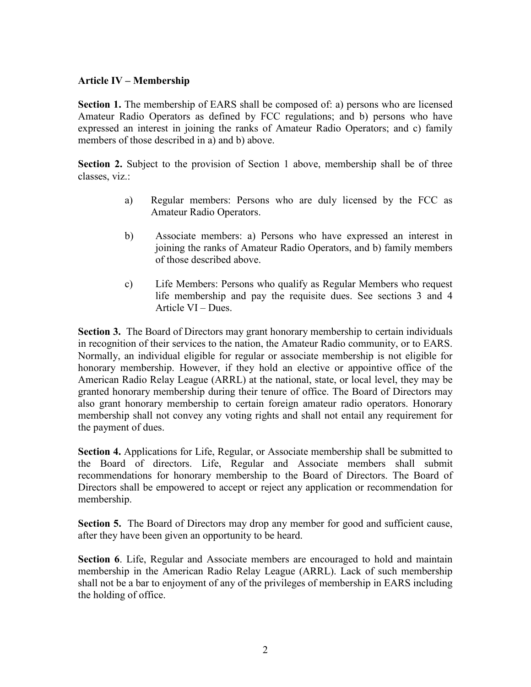## **Article IV – Membership**

**Section 1.** The membership of EARS shall be composed of: a) persons who are licensed Amateur Radio Operators as defined by FCC regulations; and b) persons who have expressed an interest in joining the ranks of Amateur Radio Operators; and c) family members of those described in a) and b) above.

**Section 2.** Subject to the provision of Section 1 above, membership shall be of three classes, viz.:

- a) Regular members: Persons who are duly licensed by the FCC as Amateur Radio Operators.
- b) Associate members: a) Persons who have expressed an interest in joining the ranks of Amateur Radio Operators, and b) family members of those described above.
- c) Life Members: Persons who qualify as Regular Members who request life membership and pay the requisite dues. See sections 3 and 4 Article VI – Dues.

**Section 3.** The Board of Directors may grant honorary membership to certain individuals in recognition of their services to the nation, the Amateur Radio community, or to EARS. Normally, an individual eligible for regular or associate membership is not eligible for honorary membership. However, if they hold an elective or appointive office of the American Radio Relay League (ARRL) at the national, state, or local level, they may be granted honorary membership during their tenure of office. The Board of Directors may also grant honorary membership to certain foreign amateur radio operators. Honorary membership shall not convey any voting rights and shall not entail any requirement for the payment of dues.

**Section 4.** Applications for Life, Regular, or Associate membership shall be submitted to the Board of directors. Life, Regular and Associate members shall submit recommendations for honorary membership to the Board of Directors. The Board of Directors shall be empowered to accept or reject any application or recommendation for membership.

**Section 5.** The Board of Directors may drop any member for good and sufficient cause, after they have been given an opportunity to be heard.

**Section 6**. Life, Regular and Associate members are encouraged to hold and maintain membership in the American Radio Relay League (ARRL). Lack of such membership shall not be a bar to enjoyment of any of the privileges of membership in EARS including the holding of office.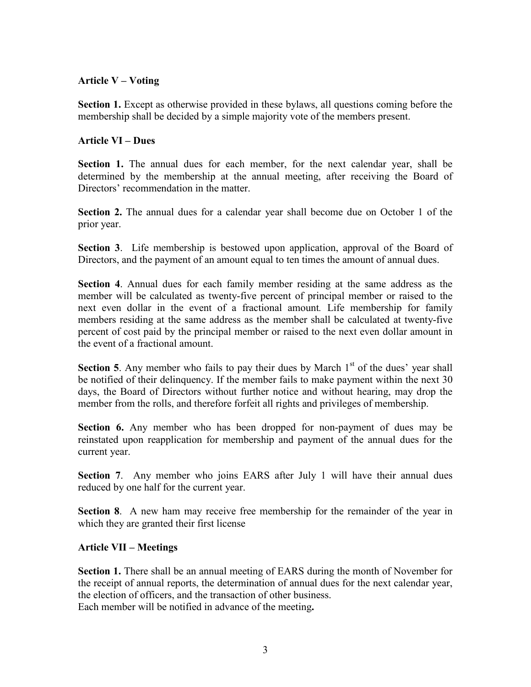## **Article V – Voting**

**Section 1.** Except as otherwise provided in these bylaws, all questions coming before the membership shall be decided by a simple majority vote of the members present.

## **Article VI – Dues**

**Section 1.** The annual dues for each member, for the next calendar year, shall be determined by the membership at the annual meeting, after receiving the Board of Directors' recommendation in the matter.

**Section 2.** The annual dues for a calendar year shall become due on October 1 of the prior year.

**Section 3**. Life membership is bestowed upon application, approval of the Board of Directors, and the payment of an amount equal to ten times the amount of annual dues.

**Section 4**. Annual dues for each family member residing at the same address as the member will be calculated as twenty-five percent of principal member or raised to the next even dollar in the event of a fractional amount*.* Life membership for family members residing at the same address as the member shall be calculated at twenty-five percent of cost paid by the principal member or raised to the next even dollar amount in the event of a fractional amount.

**Section 5.** Any member who fails to pay their dues by March  $1<sup>st</sup>$  of the dues' year shall be notified of their delinquency. If the member fails to make payment within the next 30 days, the Board of Directors without further notice and without hearing, may drop the member from the rolls, and therefore forfeit all rights and privileges of membership.

**Section 6.** Any member who has been dropped for non-payment of dues may be reinstated upon reapplication for membership and payment of the annual dues for the current year.

**Section 7**. Any member who joins EARS after July 1 will have their annual dues reduced by one half for the current year.

**Section 8**. A new ham may receive free membership for the remainder of the year in which they are granted their first license

# **Article VII – Meetings**

**Section 1.** There shall be an annual meeting of EARS during the month of November for the receipt of annual reports, the determination of annual dues for the next calendar year, the election of officers, and the transaction of other business. Each member will be notified in advance of the meeting**.**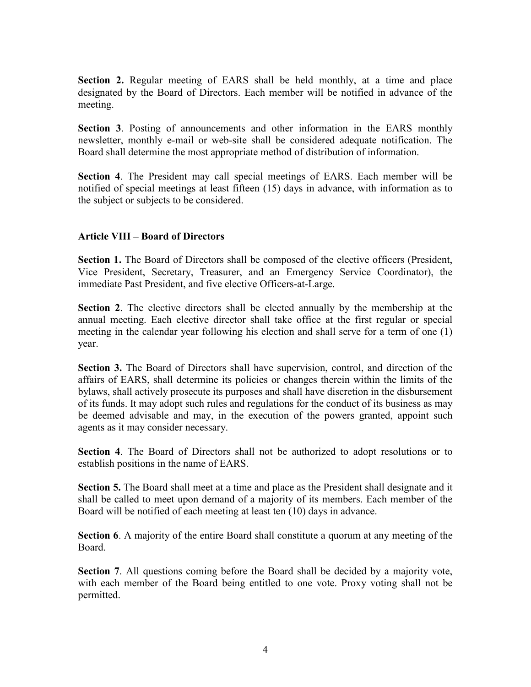**Section 2.** Regular meeting of EARS shall be held monthly, at a time and place designated by the Board of Directors. Each member will be notified in advance of the meeting.

**Section 3**. Posting of announcements and other information in the EARS monthly newsletter, monthly e-mail or web-site shall be considered adequate notification. The Board shall determine the most appropriate method of distribution of information.

**Section 4**. The President may call special meetings of EARS. Each member will be notified of special meetings at least fifteen (15) days in advance, with information as to the subject or subjects to be considered.

## **Article VIII – Board of Directors**

**Section 1.** The Board of Directors shall be composed of the elective officers (President, Vice President, Secretary, Treasurer, and an Emergency Service Coordinator), the immediate Past President, and five elective Officers-at-Large.

**Section 2**. The elective directors shall be elected annually by the membership at the annual meeting. Each elective director shall take office at the first regular or special meeting in the calendar year following his election and shall serve for a term of one (1) year.

**Section 3.** The Board of Directors shall have supervision, control, and direction of the affairs of EARS, shall determine its policies or changes therein within the limits of the bylaws, shall actively prosecute its purposes and shall have discretion in the disbursement of its funds. It may adopt such rules and regulations for the conduct of its business as may be deemed advisable and may, in the execution of the powers granted, appoint such agents as it may consider necessary.

**Section 4**. The Board of Directors shall not be authorized to adopt resolutions or to establish positions in the name of EARS.

**Section 5.** The Board shall meet at a time and place as the President shall designate and it shall be called to meet upon demand of a majority of its members. Each member of the Board will be notified of each meeting at least ten (10) days in advance.

**Section 6**. A majority of the entire Board shall constitute a quorum at any meeting of the Board.

**Section 7**. All questions coming before the Board shall be decided by a majority vote, with each member of the Board being entitled to one vote. Proxy voting shall not be permitted.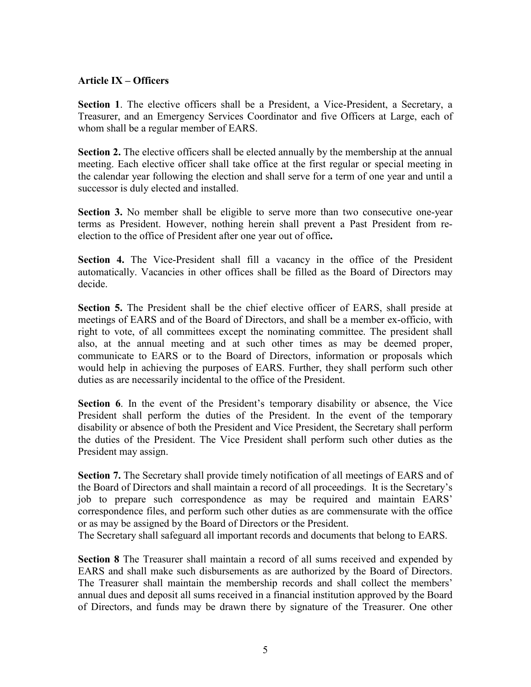## **Article IX – Officers**

**Section 1**. The elective officers shall be a President, a Vice-President, a Secretary, a Treasurer, and an Emergency Services Coordinator and five Officers at Large, each of whom shall be a regular member of EARS.

**Section 2.** The elective officers shall be elected annually by the membership at the annual meeting. Each elective officer shall take office at the first regular or special meeting in the calendar year following the election and shall serve for a term of one year and until a successor is duly elected and installed.

**Section 3.** No member shall be eligible to serve more than two consecutive one-year terms as President. However, nothing herein shall prevent a Past President from reelection to the office of President after one year out of office**.**

**Section 4.** The Vice-President shall fill a vacancy in the office of the President automatically. Vacancies in other offices shall be filled as the Board of Directors may decide.

**Section 5.** The President shall be the chief elective officer of EARS, shall preside at meetings of EARS and of the Board of Directors, and shall be a member ex-officio, with right to vote, of all committees except the nominating committee. The president shall also, at the annual meeting and at such other times as may be deemed proper, communicate to EARS or to the Board of Directors, information or proposals which would help in achieving the purposes of EARS. Further, they shall perform such other duties as are necessarily incidental to the office of the President.

**Section 6**. In the event of the President's temporary disability or absence, the Vice President shall perform the duties of the President. In the event of the temporary disability or absence of both the President and Vice President, the Secretary shall perform the duties of the President. The Vice President shall perform such other duties as the President may assign.

**Section 7.** The Secretary shall provide timely notification of all meetings of EARS and of the Board of Directors and shall maintain a record of all proceedings. It is the Secretary's job to prepare such correspondence as may be required and maintain EARS' correspondence files, and perform such other duties as are commensurate with the office or as may be assigned by the Board of Directors or the President.

The Secretary shall safeguard all important records and documents that belong to EARS.

**Section 8** The Treasurer shall maintain a record of all sums received and expended by EARS and shall make such disbursements as are authorized by the Board of Directors. The Treasurer shall maintain the membership records and shall collect the members' annual dues and deposit all sums received in a financial institution approved by the Board of Directors, and funds may be drawn there by signature of the Treasurer. One other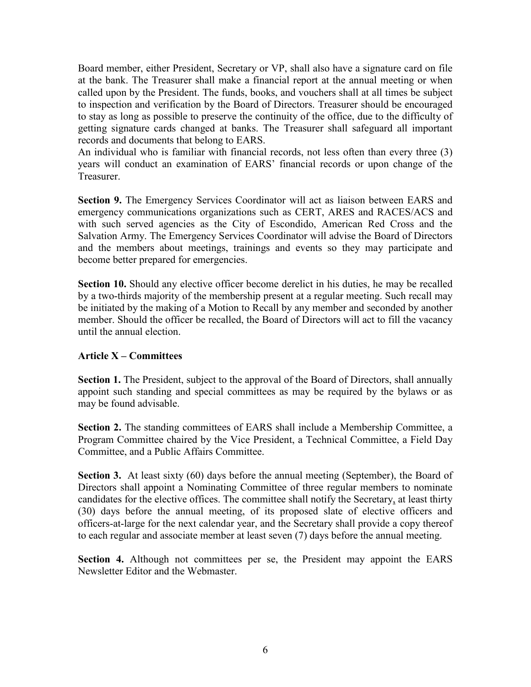Board member, either President, Secretary or VP, shall also have a signature card on file at the bank. The Treasurer shall make a financial report at the annual meeting or when called upon by the President. The funds, books, and vouchers shall at all times be subject to inspection and verification by the Board of Directors. Treasurer should be encouraged to stay as long as possible to preserve the continuity of the office, due to the difficulty of getting signature cards changed at banks. The Treasurer shall safeguard all important records and documents that belong to EARS.

An individual who is familiar with financial records, not less often than every three (3) years will conduct an examination of EARS' financial records or upon change of the Treasurer.

**Section 9.** The Emergency Services Coordinator will act as liaison between EARS and emergency communications organizations such as CERT, ARES and RACES/ACS and with such served agencies as the City of Escondido, American Red Cross and the Salvation Army. The Emergency Services Coordinator will advise the Board of Directors and the members about meetings, trainings and events so they may participate and become better prepared for emergencies.

**Section 10.** Should any elective officer become derelict in his duties, he may be recalled by a two-thirds majority of the membership present at a regular meeting. Such recall may be initiated by the making of a Motion to Recall by any member and seconded by another member. Should the officer be recalled, the Board of Directors will act to fill the vacancy until the annual election.

# **Article X – Committees**

**Section 1.** The President, subject to the approval of the Board of Directors, shall annually appoint such standing and special committees as may be required by the bylaws or as may be found advisable.

**Section 2.** The standing committees of EARS shall include a Membership Committee, a Program Committee chaired by the Vice President, a Technical Committee, a Field Day Committee, and a Public Affairs Committee.

**Section 3.** At least sixty (60) days before the annual meeting (September), the Board of Directors shall appoint a Nominating Committee of three regular members to nominate candidates for the elective offices. The committee shall notify the Secretary, at least thirty (30) days before the annual meeting, of its proposed slate of elective officers and officers-at-large for the next calendar year, and the Secretary shall provide a copy thereof to each regular and associate member at least seven (7) days before the annual meeting.

**Section 4.** Although not committees per se, the President may appoint the EARS Newsletter Editor and the Webmaster.